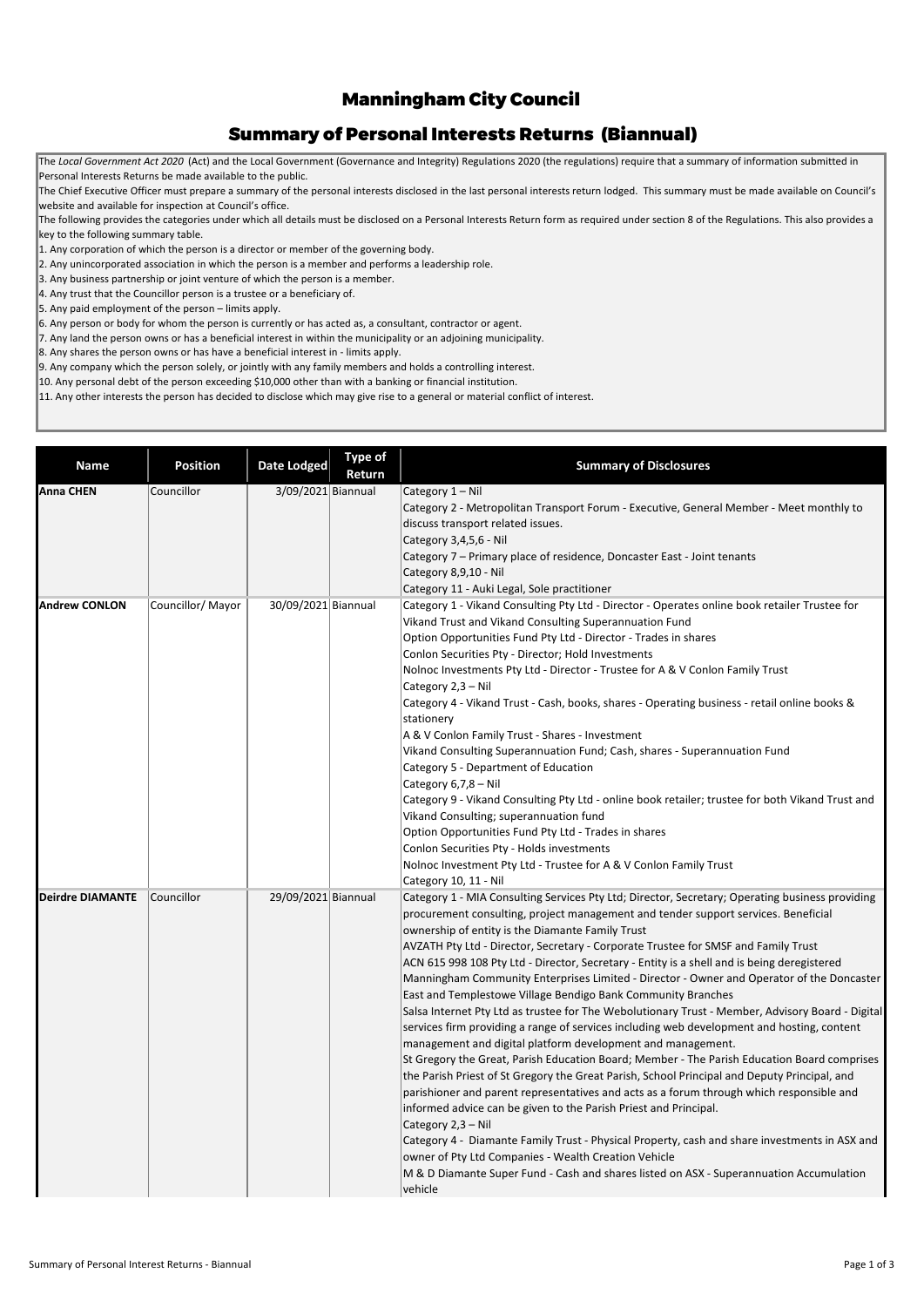The following provides the categories under which all details must be disclosed on a Personal Interests Return form as required under section 8 of the Regulations. This also provides a key to the following summary table.

> Salsa Internet Pty Ltd as trustee for The Webolutionary Trust - Member, Advisory Board - Digital services firm providing a range of services including web development and hosting, content management and digital platform development and management. St Gregory the Great, Parish Education Board; Member - The Parish Education Board comprises the Parish Priest of St Gregory the Great Parish, School Principal and Deputy Principal, and parishioner and parent representatives and acts as a forum through which responsible and informed advice can be given to the Parish Priest and Principal. Category 2,3 – Nil Category 4 - Diamante Family Trust - Physical Property, cash and share investments in ASX and owner of Pty Ltd Companies - Wealth Creation Vehicle M & D Diamante Super Fund - Cash and shares listed on ASX - Superannuation Accumulation vehicle

| <b>Name</b>             | <b>Position</b>   | Date Lodged         | <b>Type of</b><br>Return | <b>Summary of Disclosures</b>                                                                              |
|-------------------------|-------------------|---------------------|--------------------------|------------------------------------------------------------------------------------------------------------|
| <b>Anna CHEN</b>        | Councillor        | 3/09/2021 Biannual  |                          | Category 1 - Nil                                                                                           |
|                         |                   |                     |                          | Category 2 - Metropolitan Transport Forum - Executive, General Member - Meet monthly to                    |
|                         |                   |                     |                          | discuss transport related issues.                                                                          |
|                         |                   |                     |                          | Category 3,4,5,6 - Nil                                                                                     |
|                         |                   |                     |                          | Category 7 - Primary place of residence, Doncaster East - Joint tenants                                    |
|                         |                   |                     |                          | Category 8,9,10 - Nil                                                                                      |
|                         |                   |                     |                          | Category 11 - Auki Legal, Sole practitioner                                                                |
| <b>Andrew CONLON</b>    | Councillor/ Mayor | 30/09/2021 Biannual |                          | Category 1 - Vikand Consulting Pty Ltd - Director - Operates online book retailer Trustee for              |
|                         |                   |                     |                          | Vikand Trust and Vikand Consulting Superannuation Fund                                                     |
|                         |                   |                     |                          | Option Opportunities Fund Pty Ltd - Director - Trades in shares                                            |
|                         |                   |                     |                          | Conlon Securities Pty - Director; Hold Investments                                                         |
|                         |                   |                     |                          | Nolnoc Investments Pty Ltd - Director - Trustee for A & V Conlon Family Trust                              |
|                         |                   |                     |                          | Category 2,3 - Nil                                                                                         |
|                         |                   |                     |                          | Category 4 - Vikand Trust - Cash, books, shares - Operating business - retail online books &<br>stationery |
|                         |                   |                     |                          | A & V Conlon Family Trust - Shares - Investment                                                            |
|                         |                   |                     |                          | Vikand Consulting Superannuation Fund; Cash, shares - Superannuation Fund                                  |
|                         |                   |                     |                          | Category 5 - Department of Education                                                                       |
|                         |                   |                     |                          | Category $6,7,8 -$ Nil                                                                                     |
|                         |                   |                     |                          | Category 9 - Vikand Consulting Pty Ltd - online book retailer; trustee for both Vikand Trust and           |
|                         |                   |                     |                          | Vikand Consulting; superannuation fund                                                                     |
|                         |                   |                     |                          | Option Opportunities Fund Pty Ltd - Trades in shares                                                       |
|                         |                   |                     |                          | Conlon Securities Pty - Holds investments                                                                  |
|                         |                   |                     |                          | Nolnoc Investment Pty Ltd - Trustee for A & V Conlon Family Trust                                          |
|                         |                   |                     |                          | Category 10, 11 - Nil                                                                                      |
| <b>Deirdre DIAMANTE</b> | Councillor        | 29/09/2021 Biannual |                          | Category 1 - MIA Consulting Services Pty Ltd; Director, Secretary; Operating business providing            |
|                         |                   |                     |                          | procurement consulting, project management and tender support services. Beneficial                         |
|                         |                   |                     |                          | ownership of entity is the Diamante Family Trust                                                           |
|                         |                   |                     |                          | AVZATH Pty Ltd - Director, Secretary - Corporate Trustee for SMSF and Family Trust                         |
|                         |                   |                     |                          | ACN 615 998 108 Pty Ltd - Director, Secretary - Entity is a shell and is being deregistered                |
|                         |                   |                     |                          | Manningham Community Enterprises Limited - Director - Owner and Operator of the Doncaster                  |
|                         |                   |                     |                          | East and Templestowe Village Bendigo Bank Community Branches                                               |

## Manningham City Council

## Summary of Personal Interests Returns (Biannual)

The *Local Government Act 2020* (Act) and the Local Government (Governance and Integrity) Regulations 2020 (the regulations) require that a summary of information submitted in Personal Interests Returns be made available to the public.

The Chief Executive Officer must prepare a summary of the personal interests disclosed in the last personal interests return lodged. This summary must be made available on Council's website and available for inspection at Council's office.

1. Any corporation of which the person is a director or member of the governing body.

2. Any unincorporated association in which the person is a member and performs a leadership role.

3. Any business partnership or joint venture of which the person is a member.

4. Any trust that the Councillor person is a trustee or a beneficiary of.

5. Any paid employment of the person – limits apply.

6. Any person or body for whom the person is currently or has acted as, a consultant, contractor or agent.

7. Any land the person owns or has a beneficial interest in within the municipality or an adjoining municipality.

8. Any shares the person owns or has have a beneficial interest in - limits apply.

9. Any company which the person solely, or jointly with any family members and holds a controlling interest.

10. Any personal debt of the person exceeding \$10,000 other than with a banking or financial institution.

11. Any other interests the person has decided to disclose which may give rise to a general or material conflict of interest.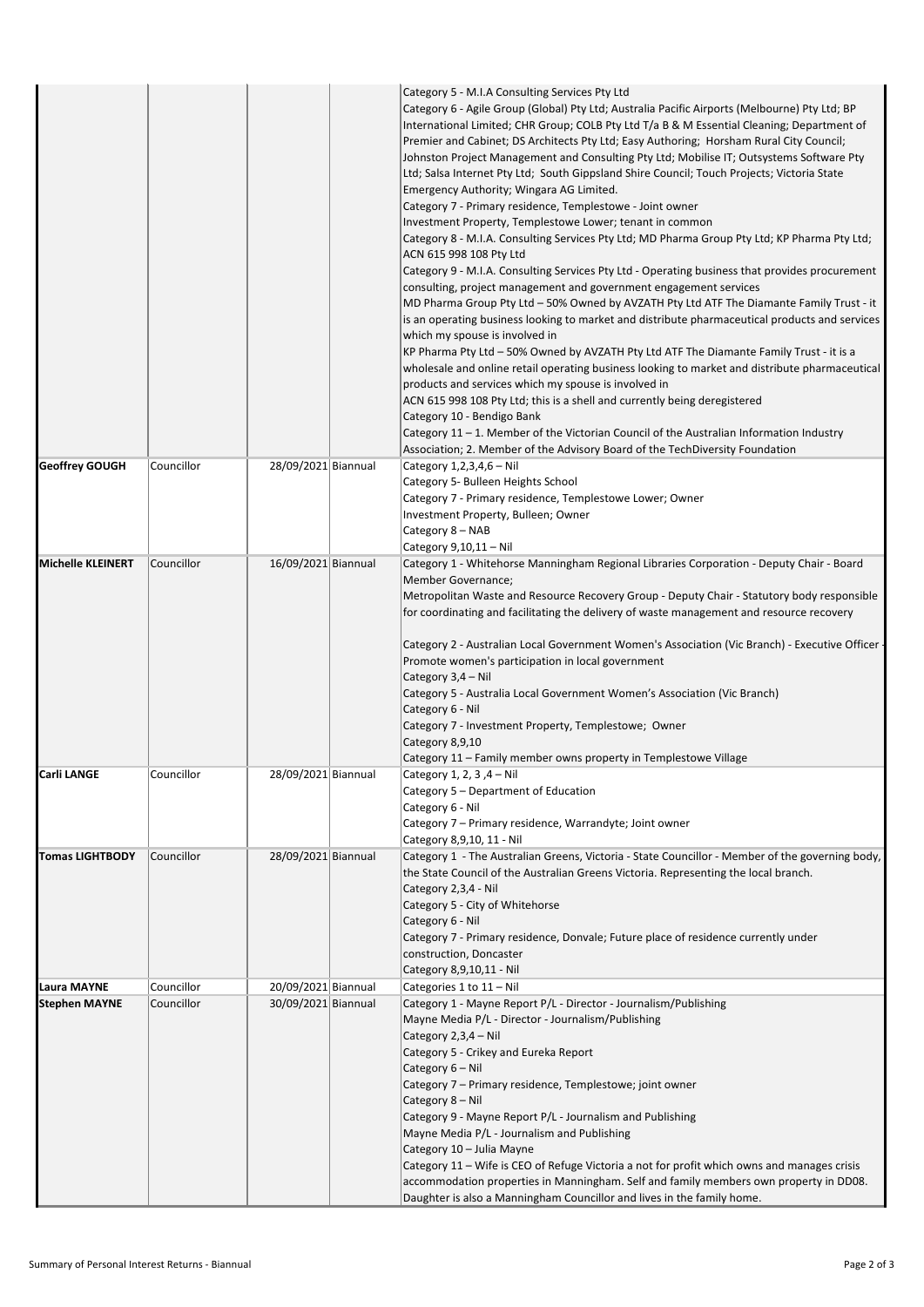|                                       |                          |                     | Category 5 - M.I.A Consulting Services Pty Ltd<br>Category 6 - Agile Group (Global) Pty Ltd; Australia Pacific Airports (Melbourne) Pty Ltd; BP<br>International Limited; CHR Group; COLB Pty Ltd T/a B & M Essential Cleaning; Department of<br>Premier and Cabinet; DS Architects Pty Ltd; Easy Authoring; Horsham Rural City Council;<br>Johnston Project Management and Consulting Pty Ltd; Mobilise IT; Outsystems Software Pty<br>Ltd; Salsa Internet Pty Ltd; South Gippsland Shire Council; Touch Projects; Victoria State<br>Emergency Authority; Wingara AG Limited.<br>Category 7 - Primary residence, Templestowe - Joint owner<br>Investment Property, Templestowe Lower; tenant in common<br>Category 8 - M.I.A. Consulting Services Pty Ltd; MD Pharma Group Pty Ltd; KP Pharma Pty Ltd;<br>ACN 615 998 108 Pty Ltd<br>Category 9 - M.I.A. Consulting Services Pty Ltd - Operating business that provides procurement<br>consulting, project management and government engagement services<br>MD Pharma Group Pty Ltd - 50% Owned by AVZATH Pty Ltd ATF The Diamante Family Trust - it<br>is an operating business looking to market and distribute pharmaceutical products and services<br>which my spouse is involved in<br>KP Pharma Pty Ltd - 50% Owned by AVZATH Pty Ltd ATF The Diamante Family Trust - it is a<br>wholesale and online retail operating business looking to market and distribute pharmaceutical<br>products and services which my spouse is involved in<br>ACN 615 998 108 Pty Ltd; this is a shell and currently being deregistered<br>Category 10 - Bendigo Bank<br>Category 11 - 1. Member of the Victorian Council of the Australian Information Industry<br>Association; 2. Member of the Advisory Board of the TechDiversity Foundation |
|---------------------------------------|--------------------------|---------------------|--------------------------------------------------------------------------------------------------------------------------------------------------------------------------------------------------------------------------------------------------------------------------------------------------------------------------------------------------------------------------------------------------------------------------------------------------------------------------------------------------------------------------------------------------------------------------------------------------------------------------------------------------------------------------------------------------------------------------------------------------------------------------------------------------------------------------------------------------------------------------------------------------------------------------------------------------------------------------------------------------------------------------------------------------------------------------------------------------------------------------------------------------------------------------------------------------------------------------------------------------------------------------------------------------------------------------------------------------------------------------------------------------------------------------------------------------------------------------------------------------------------------------------------------------------------------------------------------------------------------------------------------------------------------------------------------------------------------------------------------------------------------------------------|
|                                       |                          |                     |                                                                                                                                                                                                                                                                                                                                                                                                                                                                                                                                                                                                                                                                                                                                                                                                                                                                                                                                                                                                                                                                                                                                                                                                                                                                                                                                                                                                                                                                                                                                                                                                                                                                                                                                                                                      |
| <b>Geoffrey GOUGH</b>                 | Councillor               | 28/09/2021 Biannual | Category $1,2,3,4,6 -$ Nil<br>Category 5- Bulleen Heights School<br>Category 7 - Primary residence, Templestowe Lower; Owner<br>Investment Property, Bulleen; Owner<br>Category 8 - NAB<br>Category 9,10,11 - Nil                                                                                                                                                                                                                                                                                                                                                                                                                                                                                                                                                                                                                                                                                                                                                                                                                                                                                                                                                                                                                                                                                                                                                                                                                                                                                                                                                                                                                                                                                                                                                                    |
| <b>Michelle KLEINERT</b>              | Councillor               | 16/09/2021 Biannual | Category 1 - Whitehorse Manningham Regional Libraries Corporation - Deputy Chair - Board<br>Member Governance;<br>Metropolitan Waste and Resource Recovery Group - Deputy Chair - Statutory body responsible<br>for coordinating and facilitating the delivery of waste management and resource recovery<br>Category 2 - Australian Local Government Women's Association (Vic Branch) - Executive Officer<br>Promote women's participation in local government<br>Category 3,4 - Nil<br>Category 5 - Australia Local Government Women's Association (Vic Branch)<br>Category 6 - Nil<br>Category 7 - Investment Property, Templestowe; Owner<br>Category 8,9,10<br>Category 11 – Family member owns property in Templestowe Village                                                                                                                                                                                                                                                                                                                                                                                                                                                                                                                                                                                                                                                                                                                                                                                                                                                                                                                                                                                                                                                  |
| <b>Carli LANGE</b>                    | Councillor               | 28/09/2021 Biannual | Category 1, 2, 3 ,4 – Nil<br>Category 5 - Department of Education                                                                                                                                                                                                                                                                                                                                                                                                                                                                                                                                                                                                                                                                                                                                                                                                                                                                                                                                                                                                                                                                                                                                                                                                                                                                                                                                                                                                                                                                                                                                                                                                                                                                                                                    |
|                                       |                          |                     | Category 6 - Nil<br>Category 7 - Primary residence, Warrandyte; Joint owner<br>Category 8,9,10, 11 - Nil                                                                                                                                                                                                                                                                                                                                                                                                                                                                                                                                                                                                                                                                                                                                                                                                                                                                                                                                                                                                                                                                                                                                                                                                                                                                                                                                                                                                                                                                                                                                                                                                                                                                             |
| <b>Tomas LIGHTBODY</b><br>Laura MAYNE | Councillor<br>Councillor | 28/09/2021 Biannual | Category 1 - The Australian Greens, Victoria - State Councillor - Member of the governing body,<br>the State Council of the Australian Greens Victoria. Representing the local branch.<br>Category 2,3,4 - Nil<br>Category 5 - City of Whitehorse<br>Category 6 - Nil<br>Category 7 - Primary residence, Donvale; Future place of residence currently under<br>construction, Doncaster<br>Category 8,9,10,11 - Nil                                                                                                                                                                                                                                                                                                                                                                                                                                                                                                                                                                                                                                                                                                                                                                                                                                                                                                                                                                                                                                                                                                                                                                                                                                                                                                                                                                   |
|                                       |                          | 20/09/2021 Biannual | Categories 1 to 11 - Nil                                                                                                                                                                                                                                                                                                                                                                                                                                                                                                                                                                                                                                                                                                                                                                                                                                                                                                                                                                                                                                                                                                                                                                                                                                                                                                                                                                                                                                                                                                                                                                                                                                                                                                                                                             |
| <b>Stephen MAYNE</b>                  | Councillor               | 30/09/2021 Biannual | Category 1 - Mayne Report P/L - Director - Journalism/Publishing<br>Mayne Media P/L - Director - Journalism/Publishing<br>Category 2,3,4 - Nil<br>Category 5 - Crikey and Eureka Report<br>Category 6 - Nil<br>Category 7 - Primary residence, Templestowe; joint owner<br>Category 8 - Nil<br>Category 9 - Mayne Report P/L - Journalism and Publishing<br>Mayne Media P/L - Journalism and Publishing<br>Category 10 - Julia Mayne<br>Category 11 - Wife is CEO of Refuge Victoria a not for profit which owns and manages crisis<br>accommodation properties in Manningham. Self and family members own property in DD08.<br>Daughter is also a Manningham Councillor and lives in the family home.                                                                                                                                                                                                                                                                                                                                                                                                                                                                                                                                                                                                                                                                                                                                                                                                                                                                                                                                                                                                                                                                               |